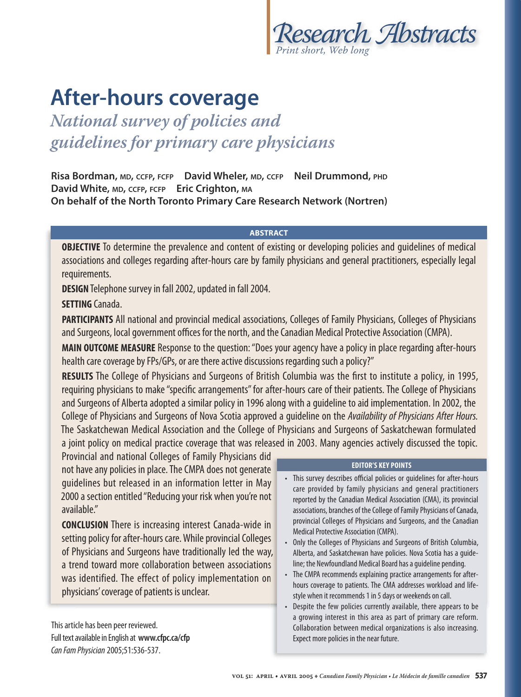

# **After-hours coverage**

*National survey of policies and guidelines for primary care physicians*

**Risa Bordman, MD, CCFP, FCFP David Wheler, MD, CCFP Neil Drummond, PHD David White, MD, CCFP, FCFP Eric Crighton, MA On behalf of the North Toronto Primary Care Research Network (Nortren)**

#### **ABSTRACT**

**OBJECTIVE** To determine the prevalence and content of existing or developing policies and quidelines of medical associations and colleges regarding after-hours care by family physicians and general practitioners, especially legal requirements.

**DESIGN** Telephone survey in fall 2002, updated in fall 2004.

### **SETTING** Canada.

**PARTICIPANTS** All national and provincial medical associations, Colleges of Family Physicians, Colleges of Physicians and Surgeons, local government offices for the north, and the Canadian Medical Protective Association (CMPA).

**MAIN OUTCOME MEASURE** Response to the question: "Does your agency have a policy in place regarding after-hours health care coverage by FPs/GPs, or are there active discussions regarding such a policy?"

**RESULTS** The College of Physicians and Surgeons of British Columbia was the first to institute a policy, in 1995, requiring physicians to make "specific arrangements" for after-hours care of their patients. The College of Physicians and Surgeons of Alberta adopted a similar policy in 1996 along with a guideline to aid implementation. In 2002, the College of Physicians and Surgeons of Nova Scotia approved a guideline on the Availability of Physicians After Hours. The Saskatchewan Medical Association and the College of Physicians and Surgeons of Saskatchewan formulated a joint policy on medical practice coverage that was released in 2003. Many agencies actively discussed the topic.

Provincial and national Colleges of Family Physicians did Provincial and national Colleges of Family Physicians did TheCMPA does notgenerate not have any policies in place. The CMPA does not generate guidelines but released in an information letter in May guidelines but released in an information letter in May 2000 a section entitled "Reducing your risk when you're not available."

**CONCLUSION** There is increasing interest Canada-wide in setting policy for after-hours care. While provincial Colleges of Physicians and Surgeons have traditionally led the way, a trend toward more collaboration between associations a trend toward more collaboration between associations was identified. The effect of policy implementation on physicians' coverage of patients is unclear. **EDITOR'S KEY POINTS**<br>
guidelines but released in an information letter in May<br>
2000 a section entitled "Reducing your risk when you're not<br>
available."<br> **CONCLUSION** There is increasing interest Canada-wide in<br>
setting po

This article has been peer reviewed. Full text available in English at **www.cfpc.ca/cfp** Can Fam Physician 2005;51:536-537.

- This survey describes official policies or guidelines for after-hours care provided by family physicians and general practitioners reported by the Canadian Medical Association (CMA), its provincial associations, branches of the College of Family Physicians of Canada, provincial Colleges of Physicians and Surgeons, and the Canadian Medical Protective Association (CMPA).
- Only the Colleges of Physicians and Surgeons of British Columbia, Alberta, and Saskatchewan have policies. Nova Scotia has a guideline; the Newfoundland Medical Board has a guideline pending.
- The CMPA recommends explaining practice arrangements for afterhours coverage to patients. The CMA addresses workload and lifestyle when it recommends 1 in 5 days or weekends on call.
- Despite the few policies currently available, there appears to be a growing interest in this area as part of primary care reform. Collaboration between medical organizations is also increasing. Expect more policies in the near future.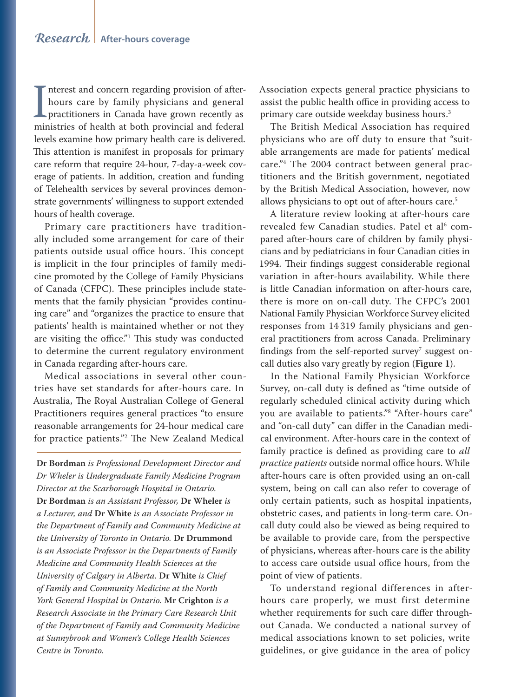Interest and concern regarding provision of after-<br>hours care by family physicians and general<br>practitioners in Canada have grown recently as<br>ministries of health at both provincial and federal nterest and concern regarding provision of afterhours care by family physicians and general **L** practitioners in Canada have grown recently as levels examine how primary health care is delivered. This attention is manifest in proposals for primary care reform that require 24-hour, 7-day-a-week coverage of patients. In addition, creation and funding of Telehealth services by several provinces demonstrate governments' willingness to support extended hours of health coverage.

Primary care practitioners have traditionally included some arrangement for care of their patients outside usual office hours. This concept is implicit in the four principles of family medicine promoted by the College of Family Physicians of Canada (CFPC). These principles include statements that the family physician "provides continuing care" and "organizes the practice to ensure that patients' health is maintained whether or not they are visiting the office."1 This study was conducted to determine the current regulatory environment in Canada regarding after-hours care.

Medical associations in several other countries have set standards for after-hours care. In Australia, The Royal Australian College of General Practitioners requires general practices "to ensure reasonable arrangements for 24-hour medical care for practice patients."2 The New Zealand Medical

**Dr Bordman** *is Professional Development Director and Dr Wheler is Undergraduate Family Medicine Program Director at the Scarborough Hospital in Ontario.*  **Dr Bordman** *is an Assistant Professor,* **Dr Wheler** *is a Lecturer, and* **Dr White** *is an Associate Professor in the Department of Family and Community Medicine at the University of Toronto in Ontario.* **Dr Drummond** *is an Associate Professor in the Departments of Family Medicine and Community Health Sciences at the University of Calgary in Alberta.* **Dr White** *is Chief of Family and Community Medicine at the North York General Hospital in Ontario.* **Mr Crighton** *is a Research Associate in the Primary Care Research Unit of the Department of Family and Community Medicine at Sunnybrook and Women's College Health Sciences Centre in Toronto.*

Association expects general practice physicians to assist the public health office in providing access to primary care outside weekday business hours.<sup>3</sup>

The British Medical Association has required physicians who are off duty to ensure that "suitable arrangements are made for patients' medical care."4 The 2004 contract between general practitioners and the British government, negotiated by the British Medical Association, however, now allows physicians to opt out of after-hours care.<sup>5</sup>

A literature review looking at after-hours care revealed few Canadian studies. Patel et al<sup>6</sup> compared after-hours care of children by family physicians and by pediatricians in four Canadian cities in 1994. Their findings suggest considerable regional variation in after-hours availability. While there is little Canadian information on after-hours care, there is more on on-call duty. The CFPC's 2001 National Family Physician Workforce Survey elicited responses from 14 319 family physicians and general practitioners from across Canada. Preliminary findings from the self-reported survey $^7$  suggest oncall duties also vary greatly by region (**Figure 1**).

In the National Family Physician Workforce Survey, on-call duty is defined as "time outside of regularly scheduled clinical activity during which you are available to patients."8 "After-hours care" and "on-call duty" can differ in the Canadian medical environment. After-hours care in the context of family practice is defined as providing care to *all practice patients* outside normal office hours. While after-hours care is often provided using an on-call system, being on call can also refer to coverage of only certain patients, such as hospital inpatients, obstetric cases, and patients in long-term care. Oncall duty could also be viewed as being required to be available to provide care, from the perspective of physicians, whereas after-hours care is the ability to access care outside usual office hours, from the point of view of patients.

To understand regional differences in afterhours care properly, we must first determine whether requirements for such care differ throughout Canada. We conducted a national survey of medical associations known to set policies, write guidelines, or give guidance in the area of policy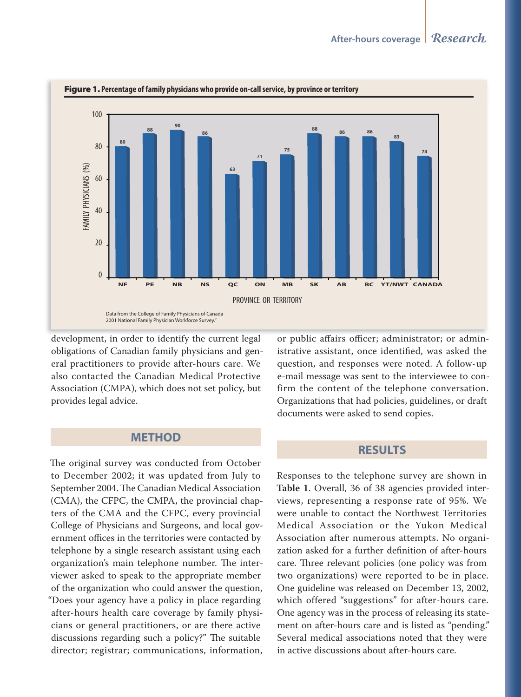

#### Figure 1. Percentage of family physicians who provide on-call service, by province or territory

development, in order to identify the current legal obligations of Canadian family physicians and general practitioners to provide after-hours care. We also contacted the Canadian Medical Protective Association (CMPA), which does not set policy, but provides legal advice.

#### **METHOD**

The original survey was conducted from October to December 2002; it was updated from July to September 2004. The Canadian Medical Association (CMA), the CFPC, the CMPA, the provincial chapters of the CMA and the CFPC, every provincial College of Physicians and Surgeons, and local government offices in the territories were contacted by telephone by a single research assistant using each organization's main telephone number. The interviewer asked to speak to the appropriate member of the organization who could answer the question, "Does your agency have a policy in place regarding after-hours health care coverage by family physicians or general practitioners, or are there active discussions regarding such a policy?" The suitable director; registrar; communications, information, or public affairs officer; administrator; or administrative assistant, once identified, was asked the question, and responses were noted. A follow-up e-mail message was sent to the interviewee to confirm the content of the telephone conversation. Organizations that had policies, guidelines, or draft documents were asked to send copies.

#### **RESULTS**

Responses to the telephone survey are shown in Table 1. Overall, 36 of 38 agencies provided interviews, representing a response rate of 95%. We were unable to contact the Northwest Territories Medical Association or the Yukon Medical Association after numerous attempts. No organization asked for a further definition of after-hours care. Three relevant policies (one policy was from two organizations) were reported to be in place. One guideline was released on December 13, 2002, which offered "suggestions" for after-hours care. One agency was in the process of releasing its statement on after-hours care and is listed as "pending." Several medical associations noted that they were in active discussions about after-hours care.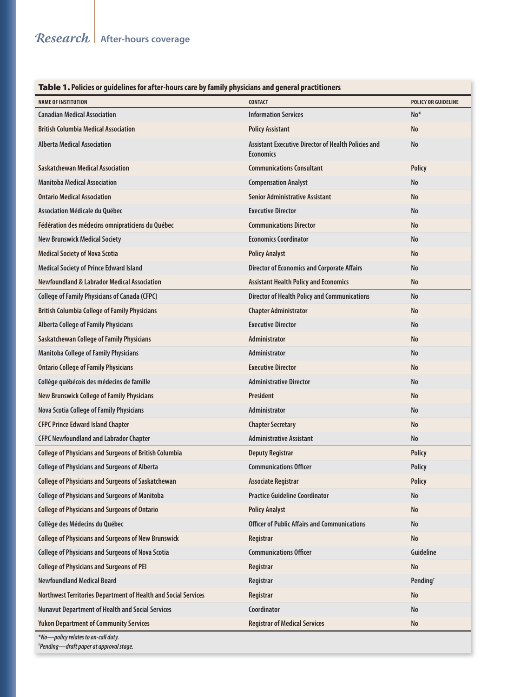#### Table 1. **Policies or guidelines for after-hours care by family physicians and general practitioners**

| ו מאיכו וויונוכז טו שמענות מונכו וויטו למוכ אין ומוווון אויגונומוז מוט שכווכומו אמנונוטווכו:<br><b>NAME OF INSTITUTION</b> | <b>CONTACT</b>                                                                 | POLICY OR GUIDELINE  |
|----------------------------------------------------------------------------------------------------------------------------|--------------------------------------------------------------------------------|----------------------|
| <b>Canadian Medical Association</b>                                                                                        | <b>Information Services</b>                                                    | $No*$                |
| <b>British Columbia Medical Association</b>                                                                                | <b>Policy Assistant</b>                                                        | No                   |
| <b>Alberta Medical Association</b>                                                                                         | <b>Assistant Executive Director of Health Policies and</b><br><b>Economics</b> | No                   |
| <b>Saskatchewan Medical Association</b>                                                                                    | <b>Communications Consultant</b>                                               | <b>Policy</b>        |
| <b>Manitoba Medical Association</b>                                                                                        | <b>Compensation Analyst</b>                                                    | No                   |
| <b>Ontario Medical Association</b>                                                                                         | <b>Senior Administrative Assistant</b>                                         | No                   |
| Association Médicale du Québec                                                                                             | <b>Executive Director</b>                                                      | No                   |
| Fédération des médecins omnipraticiens du Québec                                                                           | <b>Communications Director</b>                                                 | No                   |
| <b>New Brunswick Medical Society</b>                                                                                       | <b>Economics Coordinator</b>                                                   | No                   |
| <b>Medical Society of Nova Scotia</b>                                                                                      | <b>Policy Analyst</b>                                                          | No                   |
| <b>Medical Society of Prince Edward Island</b>                                                                             | <b>Director of Economics and Corporate Affairs</b>                             | No                   |
| <b>Newfoundland &amp; Labrador Medical Association</b>                                                                     | <b>Assistant Health Policy and Economics</b>                                   | No                   |
| <b>College of Family Physicians of Canada (CFPC)</b>                                                                       | <b>Director of Health Policy and Communications</b>                            | <b>No</b>            |
| <b>British Columbia College of Family Physicians</b>                                                                       | <b>Chapter Administrator</b>                                                   | No                   |
| <b>Alberta College of Family Physicians</b>                                                                                | <b>Executive Director</b>                                                      | No                   |
| <b>Saskatchewan College of Family Physicians</b>                                                                           | <b>Administrator</b>                                                           | No                   |
| <b>Manitoba College of Family Physicians</b>                                                                               | <b>Administrator</b>                                                           | No                   |
| <b>Ontario College of Family Physicians</b>                                                                                | <b>Executive Director</b>                                                      | No                   |
| Collège québécois des médecins de famille                                                                                  | <b>Administrative Director</b>                                                 | No                   |
| <b>New Brunswick College of Family Physicians</b>                                                                          | President                                                                      | No                   |
| Nova Scotia College of Family Physicians                                                                                   | <b>Administrator</b>                                                           | No                   |
| <b>CFPC Prince Edward Island Chapter</b>                                                                                   | <b>Chapter Secretary</b>                                                       | No                   |
| <b>CFPC Newfoundland and Labrador Chapter</b>                                                                              | <b>Administrative Assistant</b>                                                | No                   |
| <b>College of Physicians and Surgeons of British Columbia</b>                                                              | <b>Deputy Registrar</b>                                                        | <b>Policy</b>        |
| <b>College of Physicians and Surgeons of Alberta</b>                                                                       | <b>Communications Officer</b>                                                  | <b>Policy</b>        |
| <b>College of Physicians and Surgeons of Saskatchewan</b>                                                                  | <b>Associate Registrar</b>                                                     | <b>Policy</b>        |
| <b>College of Physicians and Surgeons of Manitoba</b>                                                                      | <b>Practice Guideline Coordinator</b>                                          | No                   |
| <b>College of Physicians and Surgeons of Ontario</b>                                                                       | <b>Policy Analyst</b>                                                          | No                   |
| Collège des Médecins du Québec                                                                                             | <b>Officer of Public Affairs and Communications</b>                            | No                   |
| <b>College of Physicians and Surgeons of New Brunswick</b>                                                                 | Registrar                                                                      | No                   |
| <b>College of Physicians and Surgeons of Nova Scotia</b>                                                                   | <b>Communications Officer</b>                                                  | Guideline            |
| <b>College of Physicians and Surgeons of PEI</b>                                                                           | Registrar                                                                      | No                   |
| <b>Newfoundland Medical Board</b>                                                                                          | Registrar                                                                      | Pending <sup>+</sup> |
| Northwest Territories Department of Health and Social Services                                                             | Registrar                                                                      | No                   |
| <b>Nunavut Department of Health and Social Services</b>                                                                    | Coordinator                                                                    | No                   |
| <b>Yukon Department of Community Services</b>                                                                              | <b>Registrar of Medical Services</b>                                           | No                   |
| *No-policy relates to on-call duty.                                                                                        |                                                                                |                      |

**† Pending—draft paper at approval stage.**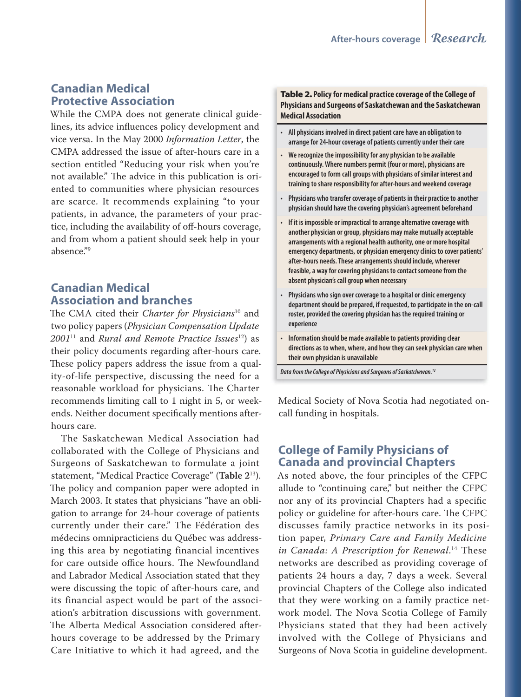# **Canadian Medical Protective Association**

While the CMPA does not generate clinical guidelines, its advice influences policy development and vice versa. In the May 2000 *Information Letter*, the CMPA addressed the issue of after-hours care in a section entitled "Reducing your risk when you're not available." The advice in this publication is oriented to communities where physician resources are scarce. It recommends explaining "to your patients, in advance, the parameters of your practice, including the availability of off -hours coverage, and from whom a patient should seek help in your absence."9

# **Canadian Medical Association and branches**

The CMA cited their *Charter for Physicians*<sup>10</sup> and two policy papers (*Physician Compensation Update 2001*11 and *Rural and Remote Practice Issues*12) as their policy documents regarding after-hours care. These policy papers address the issue from a quality-of-life perspective, discussing the need for a reasonable workload for physicians. The Charter recommends limiting call to 1 night in 5, or weekends. Neither document specifically mentions afterhours care.

The Saskatchewan Medical Association had collaborated with the College of Physicians and Surgeons of Saskatchewan to formulate a joint statement, "Medical Practice Coverage" (**Table 2**13). The policy and companion paper were adopted in March 2003. It states that physicians "have an obligation to arrange for 24-hour coverage of patients currently under their care." The Fédération des médecins omnipracticiens du Québec was addressing this area by negotiating financial incentives for care outside office hours. The Newfoundland and Labrador Medical Association stated that they were discussing the topic of after-hours care, and its financial aspect would be part of the association's arbitration discussions with government. The Alberta Medical Association considered afterhours coverage to be addressed by the Primary Care Initiative to which it had agreed, and the

Table 2. **Policy for medical practice coverage of the College of Physicians and Surgeons of Saskatchewan and the Saskatchewan Medical Association**

- **All physicians involved in direct patient care have an obligation to arrange for 24-hour coverage of patients currently under their care**
- **We recognize the impossibility for any physician to be available continuously. Where numbers permit (four or more), physicians are encouraged to form call groups with physicians of similar interest and training to share responsibility for after-hours and weekend coverage**
- **Physicians who transfer coverage of patients in their practice to another physician should have the covering physician's agreement beforehand**
- **If it is impossible or impractical to arrange alternative coverage with another physician or group, physicians may make mutually acceptable arrangements with a regional health authority, one or more hospital emergency departments, or physician emergency clinics to cover patients' after-hours needs. These arrangements should include, wherever feasible, a way for covering physicians to contact someone from the absent physician's call group when necessary**
- **Physicians who sign over coverage to a hospital or clinic emergency department should be prepared, if requested, to participate in the on-call roster, provided the covering physician has the required training or experience**
- **Information should be made available to patients providing clear directions as to when, where, and how they can seek physician care when their own physician is unavailable**

**Data from the College of Physicians and Surgeons of Saskatchewan.13**

Medical Society of Nova Scotia had negotiated oncall funding in hospitals.

# **College of Family Physicians of Canada and provincial Chapters**

As noted above, the four principles of the CFPC allude to "continuing care," but neither the CFPC nor any of its provincial Chapters had a specific policy or guideline for after-hours care. The CFPC discusses family practice networks in its position paper, *Primary Care and Family Medicine in Canada: A Prescription for Renewal*. 14 These networks are described as providing coverage of patients 24 hours a day, 7 days a week. Several provincial Chapters of the College also indicated that they were working on a family practice network model. The Nova Scotia College of Family Physicians stated that they had been actively involved with the College of Physicians and Surgeons of Nova Scotia in guideline development.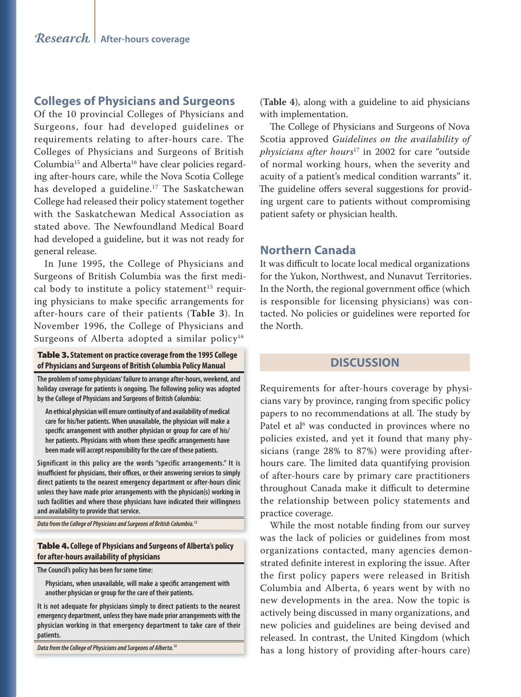### **Colleges of Physicians and Surgeons**

Of the 10 provincial Colleges of Physicians and Surgeons, four had developed guidelines or requirements relating to after-hours care. The Colleges of Physicians and Surgeons of British Columbia15 and Alberta16 have clear policies regarding after-hours care, while the Nova Scotia College has developed a guideline.<sup>17</sup> The Saskatchewan College had released their policy statement together with the Saskatchewan Medical Association as stated above. The Newfoundland Medical Board had developed a guideline, but it was not ready for general release.

In June 1995, the College of Physicians and Surgeons of British Columbia was the first medical body to institute a policy statement<sup>15</sup> requiring physicians to make specific arrangements for after-hours care of their patients (**Table 3**). In November 1996, the College of Physicians and Surgeons of Alberta adopted a similar policy<sup>16</sup>

#### Table 3. **Statement on practice coverage from the 1995 College of Physicians and Surgeons of British Columbia Policy Manual**

**The problem of some physicians' failure to arrange after-hours, weekend, and holiday coverage for patients is ongoing. The following policy was adopted by the College of Physicians and Surgeons of British Columbia:**

**An ethical physician will ensure continuity of and availability of medical care for his/her patients. When unavailable, the physician will make a**  specific arrangement with another physician or group for care of his/ her patients. Physicians with whom these specific arrangements have **been made will accept responsibility for the care of these patients.**

**Significant in this policy are the words "specific arrangements." It is**  insufficient for physicians, their offices, or their answering services to simply **direct patients to the nearest emergency department or after-hours clinic unless they have made prior arrangements with the physician(s) working in such facilities and where those physicians have indicated their willingness and availability to provide that service.**

**Data from the College of Physicians and Surgeons of British Columbia.15**

#### Table 4. **College of Physicians and Surgeons of Alberta's policy for after-hours availability of physicians**

**The Council's policy has been for some time:**

Physicians, when unavailable, will make a specific arrangement with **another physician or group for the care of their patients.**

**It is not adequate for physicians simply to direct patients to the nearest emergency department, unless they have made prior arrangements with the physician working in that emergency department to take care of their patients.**

**Data from the College of Physicians and Surgeons of Alberta.16**

(**Table 4**), along with a guideline to aid physicians with implementation.

The College of Physicians and Surgeons of Nova Scotia approved *Guidelines on the availability of physicians after hours*17 in 2002 for care "outside of normal working hours, when the severity and acuity of a patient's medical condition warrants" it. The guideline offers several suggestions for providing urgent care to patients without compromising patient safety or physician health.

## **Northern Canada**

It was difficult to locate local medical organizations for the Yukon, Northwest, and Nunavut Territories. In the North, the regional government office (which is responsible for licensing physicians) was contacted. No policies or guidelines were reported for the North.

#### **DISCUSSION**

Requirements for after-hours coverage by physicians vary by province, ranging from specific policy papers to no recommendations at all. The study by Patel et al<sup>6</sup> was conducted in provinces where no policies existed, and yet it found that many physicians (range 28% to 87%) were providing afterhours care. The limited data quantifying provision of after-hours care by primary care practitioners throughout Canada make it difficult to determine the relationship between policy statements and practice coverage.

While the most notable finding from our survey was the lack of policies or guidelines from most organizations contacted, many agencies demonstrated definite interest in exploring the issue. After the first policy papers were released in British Columbia and Alberta, 6 years went by with no new developments in the area. Now the topic is actively being discussed in many organizations, and new policies and guidelines are being devised and released. In contrast, the United Kingdom (which has a long history of providing after-hours care)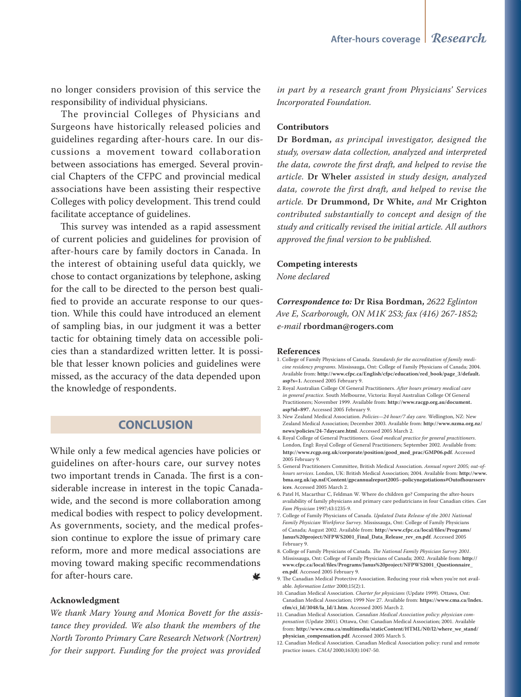no longer considers provision of this service the responsibility of individual physicians.

The provincial Colleges of Physicians and Surgeons have historically released policies and guidelines regarding after-hours care. In our discussions a movement toward collaboration between associations has emerged. Several provincial Chapters of the CFPC and provincial medical associations have been assisting their respective Colleges with policy development. This trend could facilitate acceptance of guidelines.

This survey was intended as a rapid assessment of current policies and guidelines for provision of after-hours care by family doctors in Canada. In the interest of obtaining useful data quickly, we chose to contact organizations by telephone, asking for the call to be directed to the person best qualified to provide an accurate response to our question. While this could have introduced an element of sampling bias, in our judgment it was a better tactic for obtaining timely data on accessible policies than a standardized written letter. It is possible that lesser known policies and guidelines were missed, as the accuracy of the data depended upon the knowledge of respondents.

# **CONCLUSION**

While only a few medical agencies have policies or guidelines on after-hours care, our survey notes two important trends in Canada. The first is a considerable increase in interest in the topic Canadawide, and the second is more collaboration among medical bodies with respect to policy development. As governments, society, and the medical profession continue to explore the issue of primary care reform, more and more medical associations are moving toward making specific recommendations for after-hours care. 收

#### **Acknowledgment**

*We thank Mary Young and Monica Bovett for the assistance they provided. We also thank the members of the North Toronto Primary Care Research Network (Nortren) for their support. Funding for the project was provided* 

*in part by a research grant from Physicians' Services Incorporated Foundation.*

#### **Contributors**

**Dr Bordman,** *as principal investigator, designed the study, oversaw data collection, analyzed and interpreted the data, cowrote the first draft, and helped to revise the article.* **Dr Wheler** *assisted in study design, analyzed data, cowrote the first draft, and helped to revise the article.* **Dr Drummond, Dr White,** *and* **Mr Crighton** *contributed substantially to concept and design of the study and critically revised the initial article. All authors approved the final version to be published.*

#### **Competing interests**

*None declared*

*Correspondence to:* **Dr Risa Bordman,** *2622 Eglinton Ave E, Scarborough, ON M1K 2S3; fax (416) 267-1852; e-mail* **rbordman@rogers.com**

#### **References**

- 1. College of Family Physicians of Canada. *Standards for the accreditation of family medicine residency programs*. Mississauga, Ont: College of Family Physicians of Canada; 2004. Available from: **http://www.cfpc.ca/English/cfpc/education/red\_book/page\_3/default. asp?s=1.** Accessed 2005 February 9.
- 2. Royal Australian College Of General Practitioners. *After hours primary medical care in general practice*. South Melbourne, Victoria: Royal Australian College Of General Practitioners; November 1999. Available from: **http://www.racgp.org.au/document. asp?id=897.** Accessed 2005 February 9.
- 3. New Zealand Medical Association. *Policies—24 hour/7 day care.* Wellington, NZ: New Zealand Medical Association; December 2003. Available from: **http://www.nzma.org.nz/ news/policies/24-7daycare.html**. Accessed 2005 March 2.
- 4. Royal College of General Practitioners. *Good medical practice for general practitioners*. London, Engl: Royal College of General Practitioners; September 2002. Available from: **http://www.rcgp.org.uk/corporate/position/good\_med\_prac/GMP06.pdf**. Accessed 2005 February 9.
- 5. General Practitioners Committee, British Medical Association. *Annual report 2005; out-ofhours services*. London, UK: British Medical Association; 2004. Available from: **http://www. bma.org.uk/ap.nsf/Content/gpcannualreport2005~policynegotiations#Outofhoursserv ices**. Accessed 2005 March 2.
- 6. Patel H, Macarthur C, Feldman W. Where do children go? Comparing the after-hours availability of family physicians and primary care pediatricians in four Canadian cities. *Can Fam Physician* 1997;43:1235-9.
- 7. College of Family Physicians of Canada. *Updated Data Release of the 2001 National Family Physician Workforce Survey*. Mississauga, Ont: College of Family Physicians of Canada; August 2002. Available from: **http://www.cfpc.ca/local/files/Programs/ Janus%20project/NFPWS2001\_Final\_Data\_Release\_rev\_en.pdf**. Accessed 2005 February 9.
- 8. College of Family Physicians of Canada. *The National Family Physician Survey 2001*. Mississauga, Ont: College of Family Physicians of Canada; 2002. Available from: **http:// www.cfpc.ca/local/files/Programs/Janus%20project/NFPWS2001\_Questionnaire\_ en.pdf**. Accessed 2005 February 9.
- 9. The Canadian Medical Protective Association. Reducing your risk when you're not available. *Information Letter* 2000;15(2):1.
- 10. Canadian Medical Association. *Charter for physicians* (Update 1999). Ottawa, Ont: Canadian Medical Association; 1999 Nov 27. Available from: **https://www.cma.ca/Index. cfm/ci\_Id/3048/la\_Id/1.htm**. Accessed 2005 March 2.
- 11. Canadian Medical Association. *Canadian Medical Association policy: physician compensation* (Update 2001). Ottawa, Ont: Canadian Medical Association; 2001. Available from: **http://www.cma.ca/multimedia/staticContent/HTML/N0/l2/where\_we\_stand/ physician\_compensation.pdf**. Accessed 2005 March 5.
- 12. Canadian Medical Association. Canadian Medical Association policy: rural and remote practice issues. *CMAJ* 2000;163(8):1047-50.